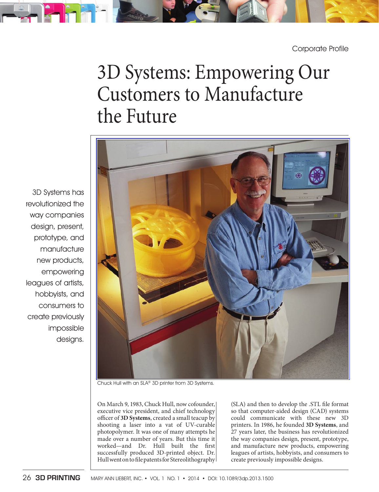

Corporate Profile

# 3D Systems: Empowering Our Customers to Manufacture the Future

3D Systems has revolutionized the way companies design, present, prototype, and manufacture new products, empowering leagues of artists, hobbyists, and consumers to create previously impossible designs.



Chuck Hull with an SLA® 3D printer from 3D Systems.

 On March 9, 1983, Chuck Hull, now cofounder, executive vice president, and chief technology officer of 3D Systems, created a small teacup by shooting a laser into a vat of UV-curable photopolymer. It was one of many attempts he made over a number of years. But this time it worked-and Dr. Hull built the first successfully produced 3D-printed object. Dr. Hull went on to file patents for Stereolithography (SLA) and then to develop the .STL file format so that computer-aided design (CAD) systems could communicate with these new 3D printers. In 1986, he founded **3D Systems** , and 27 years later, the business has revolutionized the way companies design, present, prototype, and manufacture new products, empowering leagues of artists, hobbyists, and consumers to create previously impossible designs.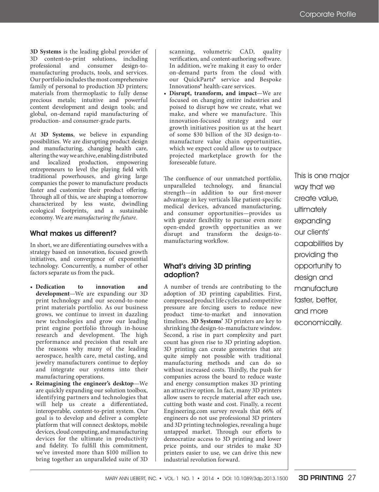**3D Systems** is the leading global provider of 3D content-to-print solutions, including professional and consumer design-to manufacturing products, tools, and services. Our portfolio includes the most comprehensive family of personal to production 3D printers; materials from thermoplastic to fully dense precious metals; intuitive and powerful content development and design tools; and global, on - demand rapid manufacturing of production- and consumer-grade parts.

 At **3D Systems** , we believe in expanding possibilities. We are disrupting product design and manufacturing, changing health care, altering the way we archive, enabling distributed and localized production, empowering entrepreneurs to level the playing field with traditional powerhouses, and giving large companies the power to manufacture products faster and customize their product offering. Through all of this, we are shaping a tomorrow characterized by less waste, dwindling ecological footprints, and a sustainable economy. We are *manufacturing the future* .

#### What makes us different?

In short, we are differentiating ourselves with a strategy based on innovation, focused growth initiatives, and convergence of exponential technology. Concurrently, a number of other factors separate us from the pack.

- **Dedication to innovation and**  development—We are expanding our 3D print technology and our second-to-none print materials portfolio. As our business grows, we continue to invest in dazzling new technologies and grow our leading print engine portfolio through in-house research and development. The high performance and precision that result are the reasons why many of the leading aerospace, health care, metal casting, and jewelry manufacturers continue to deploy and integrate our systems into their manufacturing operations.
- Reimagining the engineer's desktop-We are quickly expanding our solution toolbox, identifying partners and technologies that will help us create a differentiated, interoperable, content-to-print system. Our goal is to develop and deliver a complete platform that will connect desktops, mobile devices, cloud computing, and manufacturing devices for the ultimate in productivity and fidelity. To fulfill this commitment, we've invested more than \$100 million to bring together an unparalleled suite of 3D

scanning, volumetric CAD, quality verification, and content-authoring software. In addition, we're making it easy to order on - demand parts from the cloud with our QuickParts® service and Bespoke Innovations<sup>®</sup> health-care services.

• Disrupt, transform, and impact—We are focused on changing entire industries and poised to disrupt how we create, what we make, and where we manufacture. This innovation-focused strategy and our growth initiatives position us at the heart of some \$30 billion of the 3D design-to manufacture value chain opportunities, which we expect could allow us to outpace projected marketplace growth for the foreseeable future.

The confluence of our unmatched portfolio, unparalleled technology, and financial strength-in addition to our first-mover advantage in key verticals like patient-specific medical devices, advanced manufacturing, and consumer opportunities-provides us with greater flexibility to pursue even more open - ended growth opportunities as we disrupt and transform the design-tomanufacturing workflow.

## What's driving 3D printing adoption ?

 A number of trends are contributing to the adoption of 3D printing capabilities. First, compressed product life cycles and competitive pressure are forcing users to reduce new product time-to-market and innovation timelines. **3D Systems'** 3D printers are key to shrinking the design-to-manufacture window. Second, a rise in part complexity and part count has given rise to 3D printing adoption. 3D printing can create geometries that are quite simply not possible with traditional manufacturing methods and can do so without increased costs. Thirdly, the push for companies across the board to reduce waste and energy consumption makes 3D printing an attractive option. In fact, many 3D printers allow users to recycle material after each use, cutting both waste and cost. Finally, a recent Engineering.com survey reveals that 66% of engineers do not use professional 3D printers and 3D printing technologies, revealing a huge untapped market. Through our efforts to democratize access to 3D printing and lower price points, and our strides to make 3D printers easier to use, we can drive this new industrial revolution forward.

This is one major way that we create value, ultimately expanding our clients ' capabilities by providing the opportunity to design and manufacture faster, better, and more economically.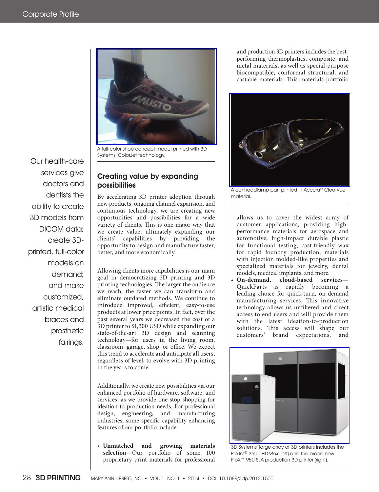

A full-color shoe concept model printed with 3D Systems' ColorJet technology.

#### Creating value by expanding possibilities

 By accelerating 3D printer adoption through new products, ongoing channel expansion, and continuous technology, we are creating new opportunities and possibilities for a wide variety of clients. This is one major way that we create value, ultimately expanding our clients' capabilities by providing the opportunity to design and manufacture faster, better, and more economically.

 Allowing clients more capabilities is our main goal in democratizing 3D printing and 3D printing technologies. The larger the audience we reach, the faster we can transform and eliminate outdated methods. We continue to introduce improved, efficient, easy-to-use products at lower price points. In fact, over the past several years we decreased the cost of a 3D printer to \$1,300 USD while expanding our state-of-the-art 3D design and scanning technology — for users in the living room, classroom, garage, shop, or office. We expect this trend to accelerate and anticipate all users, regardless of level, to evolve with 3D printing in the years to come.

 Additionally, we create new possibilities via our enhanced portfolio of hardware, software, and services, as we provide one-stop shopping for ideation-to-production needs. For professional design, engineering, and manufacturing industries, some specific capability-enhancing features of our portfolio include:

 • **Unmatched and growing materials**  selection-Our portfolio of some 100 proprietary print materials for professional and production 3D printers includes the best performing thermoplastics, composite, and metal materials, as well as special-purpose biocompatible, conformal structural, and castable materials. This materials portfolio



A car headlamp part printed in Accura® ClearVue material.

allows us to cover the widest array of customer applications, providing high performance materials for aerospace and automotive, high-impact durable plastic for functional testing, cast-friendly wax for rapid foundry production, materials with injection molded-like properties and specialized materials for jewelry, dental models, medical implants, and more.

On-demand, cloud-based services-QuickParts is rapidly becoming a leading choice for quick-turn, on-demand manufacturing services. This innovative technology allows us unfiltered and direct access to end users and will provide them with the latest ideation-to-production solutions. This access will shape our customers' brand expectations, and



3D Systems' large array of 3D printers includes the ProJet® 3500 HDMax (left) and the brand new ProX™ 950 SLA production 3D printer (right).

Our health-care services give doctors and dentists the ability to create 3D models from DICOM data; create 3D printed, full-color models on demand; and make customized, artistic medical braces and prosthetic fairings.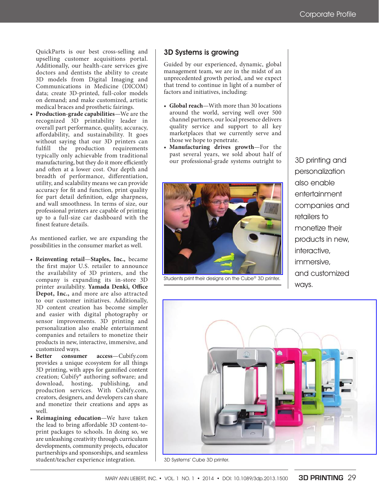QuickParts is our best cross-selling and upselling customer acquisitions portal. Additionally, our health-care services give doctors and dentists the ability to create 3D models from Digital Imaging and Communications in Medicine (DICOM) data; create 3D-printed, full-color models on demand; and make customized, artistic medical braces and prosthetic fairings.

• **Production-grade capabilities**—We are the recognized 3D printability leader in overall part performance, quality, accuracy, affordability, and sustainability. It goes without saying that our 3D printers can fulfill the production requirements typically only achievable from traditional manufacturing, but they do it more efficiently and often at a lower cost. Our depth and breadth of performance, differentiation, utility, and scalability means we can provide accuracy for fit and function, print quality for part detail definition, edge sharpness, and wall smoothness. In terms of size, our professional printers are capable of printing up to a full-size car dashboard with the finest feature details.

 As mentioned earlier, we are expanding the possibilities in the consumer market as well.

- **Reinventing retail Staples, Inc.,** became the first major U.S. retailer to announce the availability of 3D printers, and the company is expanding its in-store 3D printer availability. Yamada Denki, Office **Depot, Inc.,** and more are also attracted to our customer initiatives. Additionally, 3D content creation has become simpler and easier with digital photography or sensor improvements. 3D printing and personalization also enable entertainment companies and retailers to monetize their products in new, interactive, immersive, and customized ways.<br>Better consumer
- **Better consumer access** Cubify.com provides a unique ecosystem for all things 3D printing, with apps for gamified content creation; Cubify® authoring software; and download, hosting, publishing, and production services. With Cubify.com, creators, designers, and developers can share and monetize their creations and apps as well.
- Reimagining education-We have taken the lead to bring affordable 3D content-toprint packages to schools. In doing so, we are unleashing creativity through curriculum developments, community projects, educator partnerships and sponsorships, and seamless student/teacher experience integration.

#### 3D Systems is growing

 Guided by our experienced, dynamic, global management team, we are in the midst of an unprecedented growth period, and we expect that trend to continue in light of a number of factors and initiatives, including:

- Global reach—With more than 30 locations around the world, serving well over 500 channel partners, our local presence delivers quality service and support to all key marketplaces that we currently serve and those we hope to penetrate.
- **Manufacturing drives growth**-For the past several years, we sold about half of our professional-grade systems outright to



Students print their designs on the Cube® 3D printer.

3D printing and personalization also enable entertainment companies and retailers to monetize their products in new, interactive, immersive, and customized ways.



3D Systems' Cube 3D printer.